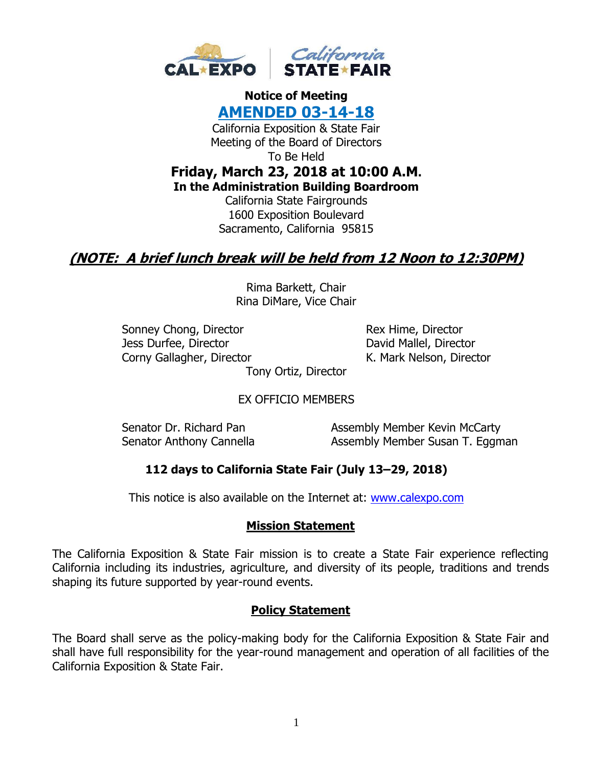

# **Notice of Meeting AMENDED 03-14-18** California Exposition & State Fair Meeting of the Board of Directors To Be Held **Friday, March 23, 2018 at 10:00 A.M. In the Administration Building Boardroom** California State Fairgrounds 1600 Exposition Boulevard Sacramento, California 95815

# **(NOTE: A brief lunch break will be held from 12 Noon to 12:30PM)**

Rima Barkett, Chair Rina DiMare, Vice Chair

Sonney Chong, Director Rex Hime, Director Jess Durfee, Director **David Mallel**, Director Corny Gallagher, Director **K. Mark Nelson, Director** 

Tony Ortiz, Director

EX OFFICIO MEMBERS

Senator Dr. Richard Pan Assembly Member Kevin McCarty Senator Anthony Cannella **Assembly Member Susan T. Eggman** 

# **112 days to California State Fair (July 13–29, 2018)**

This notice is also available on the Internet at: [www.calexpo.com](http://www.calexpo.com/)

#### **Mission Statement**

The California Exposition & State Fair mission is to create a State Fair experience reflecting California including its industries, agriculture, and diversity of its people, traditions and trends shaping its future supported by year-round events.

#### **Policy Statement**

The Board shall serve as the policy-making body for the California Exposition & State Fair and shall have full responsibility for the year-round management and operation of all facilities of the California Exposition & State Fair.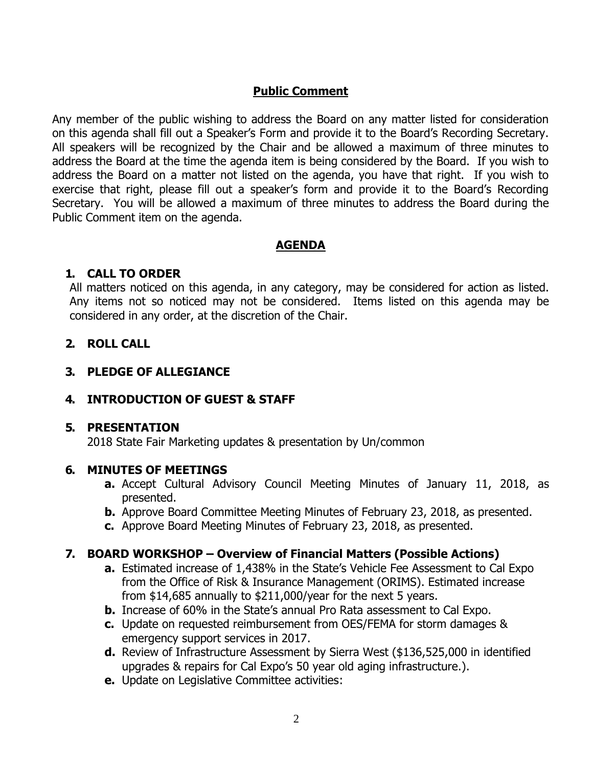### **Public Comment**

Any member of the public wishing to address the Board on any matter listed for consideration on this agenda shall fill out a Speaker's Form and provide it to the Board's Recording Secretary. All speakers will be recognized by the Chair and be allowed a maximum of three minutes to address the Board at the time the agenda item is being considered by the Board. If you wish to address the Board on a matter not listed on the agenda, you have that right. If you wish to exercise that right, please fill out a speaker's form and provide it to the Board's Recording Secretary. You will be allowed a maximum of three minutes to address the Board during the Public Comment item on the agenda.

#### **AGENDA**

#### **1. CALL TO ORDER**

All matters noticed on this agenda, in any category, may be considered for action as listed. Any items not so noticed may not be considered. Items listed on this agenda may be considered in any order, at the discretion of the Chair.

# **2. ROLL CALL**

### **3. PLEDGE OF ALLEGIANCE**

#### **4. INTRODUCTION OF GUEST & STAFF**

#### **5. PRESENTATION**

2018 State Fair Marketing updates & presentation by Un/common

#### **6. MINUTES OF MEETINGS**

- **a.** Accept Cultural Advisory Council Meeting Minutes of January 11, 2018, as presented.
- **b.** Approve Board Committee Meeting Minutes of February 23, 2018, as presented.
- **c.** Approve Board Meeting Minutes of February 23, 2018, as presented.

# **7. BOARD WORKSHOP – Overview of Financial Matters (Possible Actions)**

- **a.** Estimated increase of 1,438% in the State's Vehicle Fee Assessment to Cal Expo from the Office of Risk & Insurance Management (ORIMS). Estimated increase from \$14,685 annually to \$211,000/year for the next 5 years.
- **b.** Increase of 60% in the State's annual Pro Rata assessment to Cal Expo.
- **c.** Update on requested reimbursement from OES/FEMA for storm damages & emergency support services in 2017.
- **d.** Review of Infrastructure Assessment by Sierra West (\$136,525,000 in identified upgrades & repairs for Cal Expo's 50 year old aging infrastructure.).
- **e.** Update on Legislative Committee activities: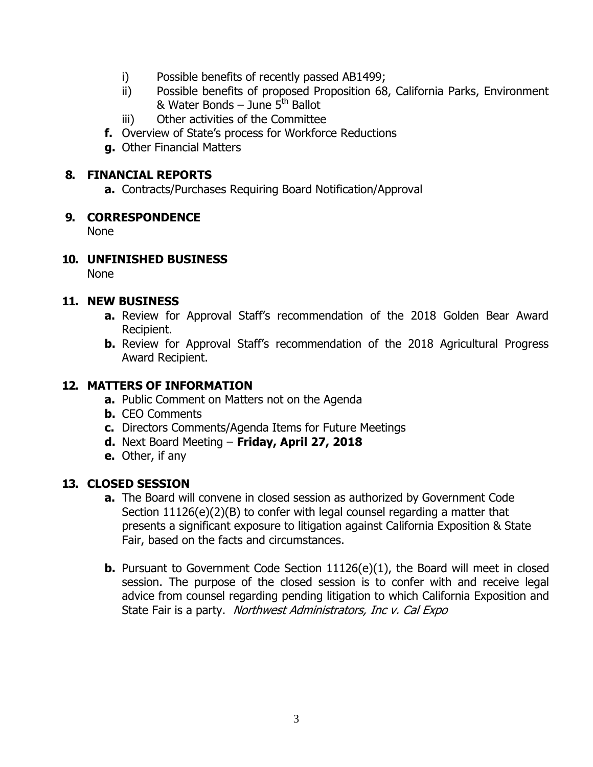- i) Possible benefits of recently passed AB1499;
- ii) Possible benefits of proposed Proposition 68, California Parks, Environment & Water Bonds – June  $5<sup>th</sup>$  Ballot
- iii) Other activities of the Committee
- **f.** Overview of State's process for Workforce Reductions
- **g.** Other Financial Matters

#### **8. FINANCIAL REPORTS**

**a.** Contracts/Purchases Requiring Board Notification/Approval

### **9. CORRESPONDENCE**

None

# **10. UNFINISHED BUSINESS**

None

### **11. NEW BUSINESS**

- **a.** Review for Approval Staff's recommendation of the 2018 Golden Bear Award Recipient.
- **b.** Review for Approval Staff's recommendation of the 2018 Agricultural Progress Award Recipient.

# **12. MATTERS OF INFORMATION**

- **a.** Public Comment on Matters not on the Agenda
- **b.** CEO Comments
- **c.** Directors Comments/Agenda Items for Future Meetings
- **d.** Next Board Meeting **Friday, April 27, 2018**
- **e.** Other, if any

# **13. CLOSED SESSION**

- **a.** The Board will convene in closed session as authorized by Government Code Section 11126(e)(2)(B) to confer with legal counsel regarding a matter that presents a significant exposure to litigation against California Exposition & State Fair, based on the facts and circumstances.
- **b.** Pursuant to Government Code Section 11126(e)(1), the Board will meet in closed session. The purpose of the closed session is to confer with and receive legal advice from counsel regarding pending litigation to which California Exposition and State Fair is a party. Northwest Administrators, Inc v. Cal Expo